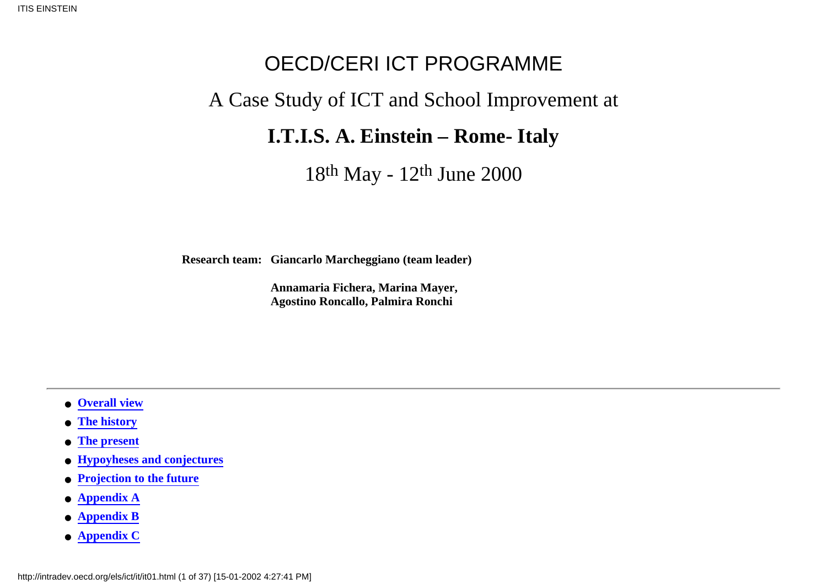# OECD/CERI ICT PROGRAMME

# A Case Study of ICT and School Improvement at

## **I.T.I.S. A. Einstein – Rome- Italy**

18th May - 12th June 2000

**Research team: Giancarlo Marcheggiano (team leader)**

**Annamaria Fichera, Marina Mayer, Agostino Roncallo, Palmira Ronchi**

- <span id="page-0-0"></span>● **[Overall view](#page-1-0)**
- **[The history](#page-4-0)**
- **[The present](#page-5-0)**
- **[Hypoyheses and conjectures](#page-8-0)**
- **[Projection to the future](#page-12-0)**
- **[Appendix A](#page-12-1)**
- **[Appendix B](#page-14-0)**
- **[Appendix C](#page-31-0)**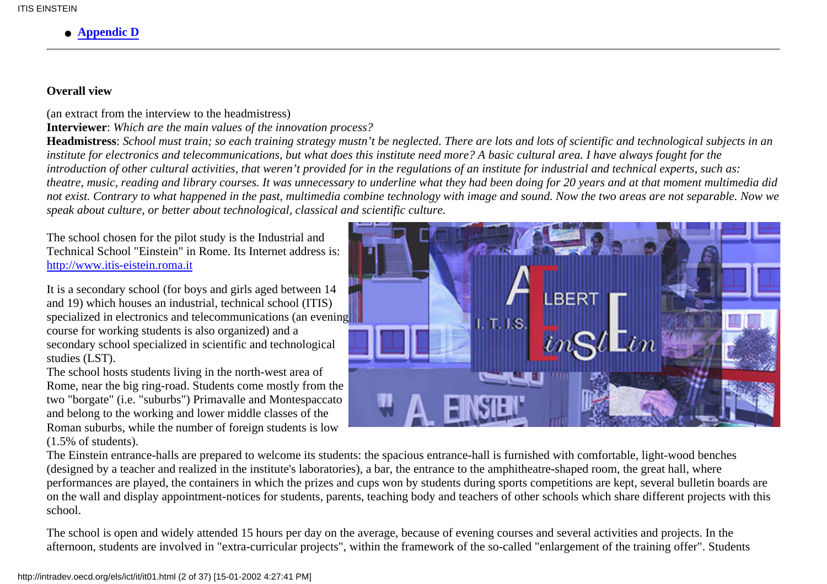#### ● **[Appendic D](#page-32-0)**

#### <span id="page-1-0"></span>**Overall view**

(an extract from the interview to the headmistress)

**Interviewer**: *Which are the main values of the innovation process?*

**Headmistress**: *School must train; so each training strategy mustn't be neglected. There are lots and lots of scientific and technological subjects in an institute for electronics and telecommunications, but what does this institute need more? A basic cultural area. I have always fought for the introduction of other cultural activities, that weren't provided for in the regulations of an institute for industrial and technical experts, such as: theatre, music, reading and library courses. It was unnecessary to underline what they had been doing for 20 years and at that moment multimedia did not exist. Contrary to what happened in the past, multimedia combine technology with image and sound. Now the two areas are not separable. Now we speak about culture, or better about technological, classical and scientific culture.*

The school chosen for the pilot study is the Industrial and Technical School "Einstein" in Rome. Its Internet address is: [http://www.itis-eistein.roma.it](http://www.itis-einstein.roma.it/)

It is a secondary school (for boys and girls aged between 14 and 19) which houses an industrial, technical school (ITIS) specialized in electronics and telecommunications (an evening course for working students is also organized) and a secondary school specialized in scientific and technological studies (LST).

The school hosts students living in the north-west area of Rome, near the big ring-road. Students come mostly from the two "borgate" (i.e. "suburbs") Primavalle and Montespaccato and belong to the working and lower middle classes of the Roman suburbs, while the number of foreign students is low (1.5% of students).



The Einstein entrance-halls are prepared to welcome its students: the spacious entrance-hall is furnished with comfortable, light-wood benches (designed by a teacher and realized in the institute's laboratories), a bar, the entrance to the amphitheatre-shaped room, the great hall, where performances are played, the containers in which the prizes and cups won by students during sports competitions are kept, several bulletin boards are on the wall and display appointment-notices for students, parents, teaching body and teachers of other schools which share different projects with this school.

The school is open and widely attended 15 hours per day on the average, because of evening courses and several activities and projects. In the afternoon, students are involved in "extra-curricular projects", within the framework of the so-called "enlargement of the training offer". Students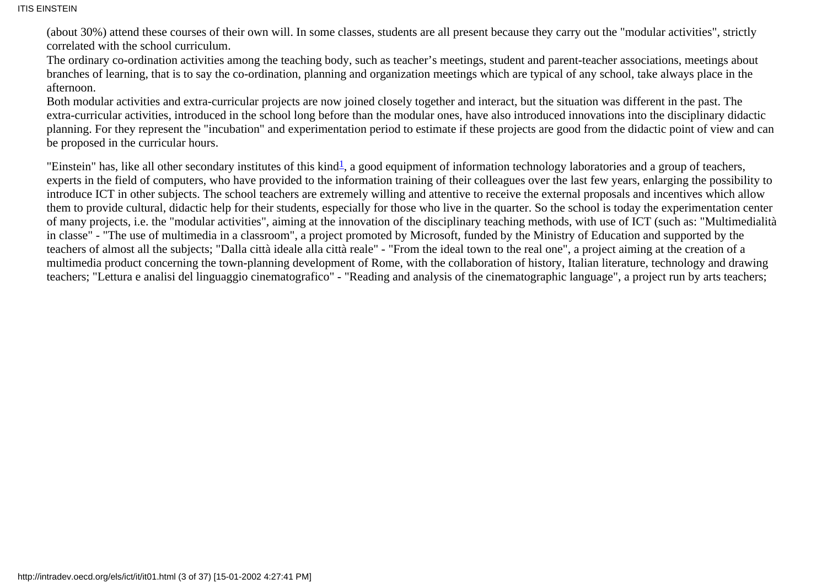(about 30%) attend these courses of their own will. In some classes, students are all present because they carry out the "modular activities", strictly correlated with the school curriculum.

The ordinary co-ordination activities among the teaching body, such as teacher's meetings, student and parent-teacher associations, meetings about branches of learning, that is to say the co-ordination, planning and organization meetings which are typical of any school, take always place in the afternoon.

Both modular activities and extra-curricular projects are now joined closely together and interact, but the situation was different in the past. The extra-curricular activities, introduced in the school long before than the modular ones, have also introduced innovations into the disciplinary didactic planning. For they represent the "incubation" and experimentation period to estimate if these projects are good from the didactic point of view and can be proposed in the curricular hours.

<span id="page-2-0"></span>"Einstein" has, like all other secondary institutes of this kind<sup>1</sup>, a good equipment of information technology laboratories and a group of teachers, experts in the field of computers, who have provided to the information training of their colleagues over the last few years, enlarging the possibility to introduce ICT in other subjects. The school teachers are extremely willing and attentive to receive the external proposals and incentives which allow them to provide cultural, didactic help for their students, especially for those who live in the quarter. So the school is today the experimentation center of many projects, i.e. the "modular activities", aiming at the innovation of the disciplinary teaching methods, with use of ICT (such as: "Multimedialità in classe" - "The use of multimedia in a classroom", a project promoted by Microsoft, funded by the Ministry of Education and supported by the teachers of almost all the subjects; "Dalla città ideale alla città reale" - "From the ideal town to the real one", a project aiming at the creation of a multimedia product concerning the town-planning development of Rome, with the collaboration of history, Italian literature, technology and drawing teachers; "Lettura e analisi del linguaggio cinematografico" - "Reading and analysis of the cinematographic language", a project run by arts teachers;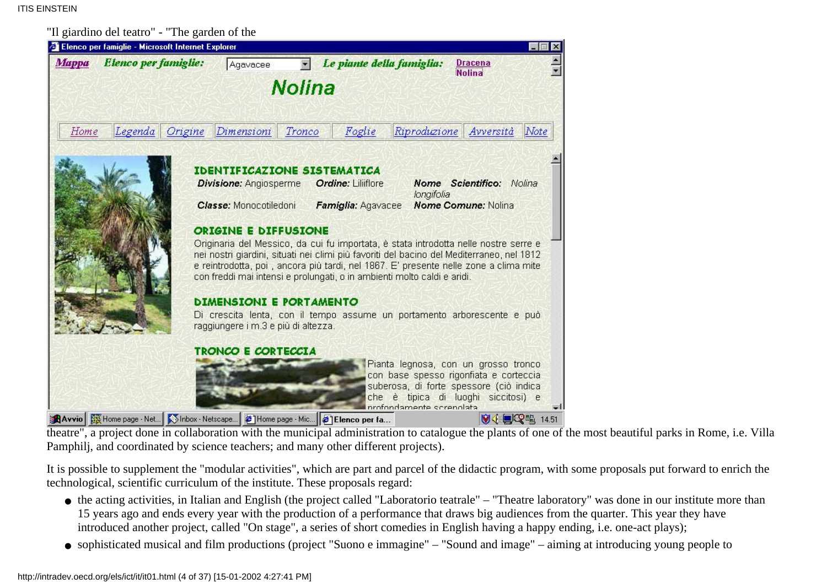"Il giardino del teatro" - "The garden of the



theatre", a project done in collaboration with the municipal administration to catalogue the plants of one of the most beautiful parks in Rome, i.e. Villa Pamphilj, and coordinated by science teachers; and many other different projects).

It is possible to supplement the "modular activities", which are part and parcel of the didactic program, with some proposals put forward to enrich the technological, scientific curriculum of the institute. These proposals regard:

- the acting activities, in Italian and English (the project called "Laboratorio teatrale" "Theatre laboratory" was done in our institute more than 15 years ago and ends every year with the production of a performance that draws big audiences from the quarter. This year they have introduced another project, called "On stage", a series of short comedies in English having a happy ending, i.e. one-act plays);
- sophisticated musical and film productions (project "Suono e immagine" "Sound and image" aiming at introducing young people to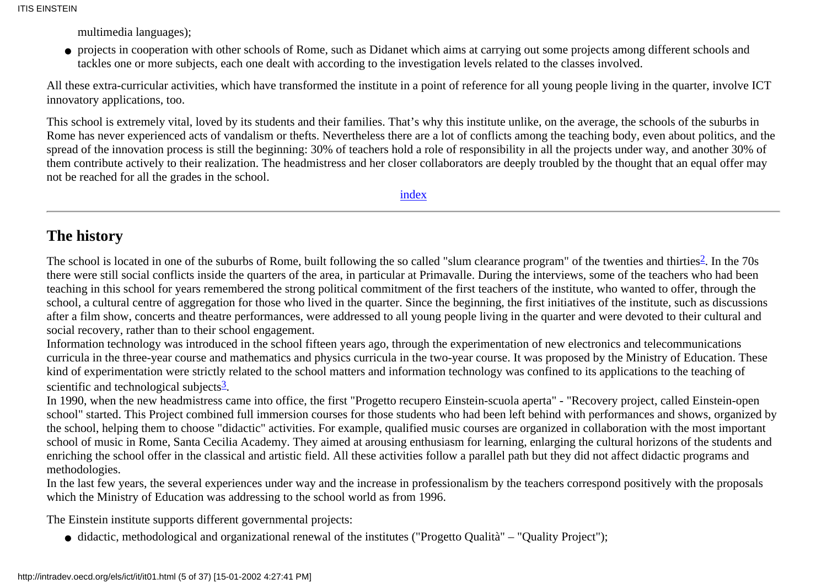multimedia languages);

projects in cooperation with other schools of Rome, such as Didanet which aims at carrying out some projects among different schools and ● tackles one or more subjects, each one dealt with according to the investigation levels related to the classes involved.

All these extra-curricular activities, which have transformed the institute in a point of reference for all young people living in the quarter, involve ICT innovatory applications, too.

This school is extremely vital, loved by its students and their families. That's why this institute unlike, on the average, the schools of the suburbs in Rome has never experienced acts of vandalism or thefts. Nevertheless there are a lot of conflicts among the teaching body, even about politics, and the spread of the innovation process is still the beginning: 30% of teachers hold a role of responsibility in all the projects under way, and another 30% of them contribute actively to their realization. The headmistress and her closer collaborators are deeply troubled by the thought that an equal offer may not be reached for all the grades in the school.

[index](#page-0-0)

### <span id="page-4-0"></span>**The history**

The school is located in one of the suburbs of Rome, built following the so called "slum clearance program" of the twenties and thirties<sup>2</sup>. In the 70s there were still social conflicts inside the quarters of the area, in particular at Primavalle. During the interviews, some of the teachers who had been teaching in this school for years remembered the strong political commitment of the first teachers of the institute, who wanted to offer, through the school, a cultural centre of aggregation for those who lived in the quarter. Since the beginning, the first initiatives of the institute, such as discussions after a film show, concerts and theatre performances, were addressed to all young people living in the quarter and were devoted to their cultural and social recovery, rather than to their school engagement.

<span id="page-4-1"></span>Information technology was introduced in the school fifteen years ago, through the experimentation of new electronics and telecommunications curricula in the three-year course and mathematics and physics curricula in the two-year course. It was proposed by the Ministry of Education. These kind of experimentation were strictly related to the school matters and information technology was confined to its applications to the teaching of scientific and technological subjects $\frac{3}{2}$  $\frac{3}{2}$  $\frac{3}{2}$ .

In 1990, when the new headmistress came into office, the first "Progetto recupero Einstein-scuola aperta" - "Recovery project, called Einstein-open school" started. This Project combined full immersion courses for those students who had been left behind with performances and shows, organized by the school, helping them to choose "didactic" activities. For example, qualified music courses are organized in collaboration with the most important school of music in Rome, Santa Cecilia Academy. They aimed at arousing enthusiasm for learning, enlarging the cultural horizons of the students and enriching the school offer in the classical and artistic field. All these activities follow a parallel path but they did not affect didactic programs and methodologies.

In the last few years, the several experiences under way and the increase in professionalism by the teachers correspond positively with the proposals which the Ministry of Education was addressing to the school world as from 1996.

The Einstein institute supports different governmental projects:

• didactic, methodological and organizational renewal of the institutes ("Progetto Qualità" – "Quality Project");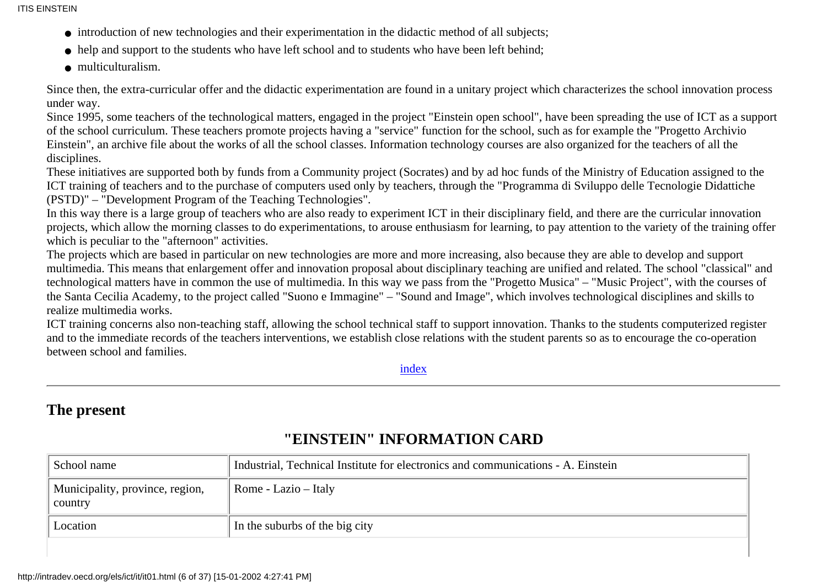ITIS EINSTEIN

- introduction of new technologies and their experimentation in the didactic method of all subjects;
- help and support to the students who have left school and to students who have been left behind;
- multiculturalism.

Since then, the extra-curricular offer and the didactic experimentation are found in a unitary project which characterizes the school innovation process under way.

Since 1995, some teachers of the technological matters, engaged in the project "Einstein open school", have been spreading the use of ICT as a support of the school curriculum. These teachers promote projects having a "service" function for the school, such as for example the "Progetto Archivio Einstein", an archive file about the works of all the school classes. Information technology courses are also organized for the teachers of all the disciplines.

These initiatives are supported both by funds from a Community project (Socrates) and by ad hoc funds of the Ministry of Education assigned to the ICT training of teachers and to the purchase of computers used only by teachers, through the "Programma di Sviluppo delle Tecnologie Didattiche (PSTD)" – "Development Program of the Teaching Technologies".

In this way there is a large group of teachers who are also ready to experiment ICT in their disciplinary field, and there are the curricular innovation projects, which allow the morning classes to do experimentations, to arouse enthusiasm for learning, to pay attention to the variety of the training offer which is peculiar to the "afternoon" activities.

The projects which are based in particular on new technologies are more and more increasing, also because they are able to develop and support multimedia. This means that enlargement offer and innovation proposal about disciplinary teaching are unified and related. The school "classical" and technological matters have in common the use of multimedia. In this way we pass from the "Progetto Musica" – "Music Project", with the courses of the Santa Cecilia Academy, to the project called "Suono e Immagine" – "Sound and Image", which involves technological disciplines and skills to realize multimedia works.

ICT training concerns also non-teaching staff, allowing the school technical staff to support innovation. Thanks to the students computerized register and to the immediate records of the teachers interventions, we establish close relations with the student parents so as to encourage the co-operation between school and families.

[index](#page-0-0)

### <span id="page-5-0"></span>**The present**

| School name                                | Industrial, Technical Institute for electronics and communications - A. Einstein |
|--------------------------------------------|----------------------------------------------------------------------------------|
| Municipality, province, region,<br>country | Rome - Lazio - Italy                                                             |
| Location                                   | In the suburbs of the big city                                                   |

### **"EINSTEIN" INFORMATION CARD**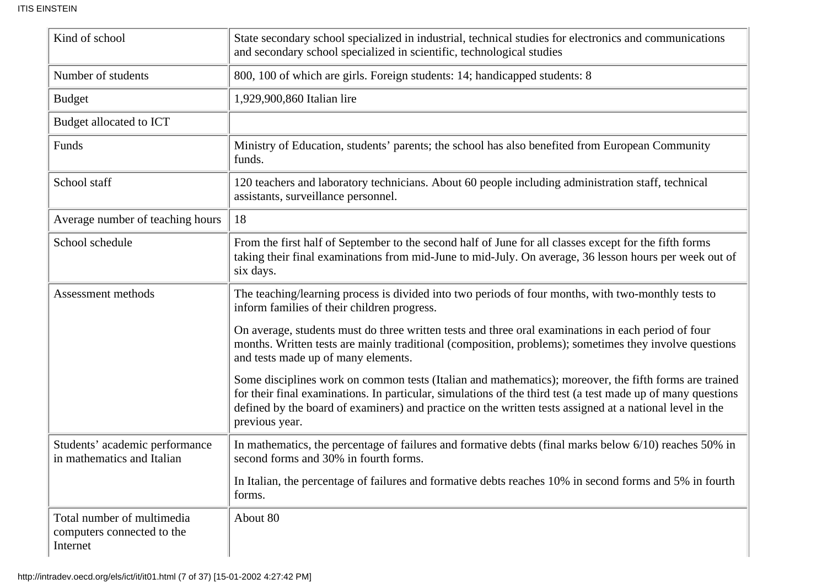| Kind of school                                                       | State secondary school specialized in industrial, technical studies for electronics and communications<br>and secondary school specialized in scientific, technological studies                                                                                                                                                                      |
|----------------------------------------------------------------------|------------------------------------------------------------------------------------------------------------------------------------------------------------------------------------------------------------------------------------------------------------------------------------------------------------------------------------------------------|
| Number of students                                                   | 800, 100 of which are girls. Foreign students: 14; handicapped students: 8                                                                                                                                                                                                                                                                           |
| <b>Budget</b>                                                        | 1,929,900,860 Italian lire                                                                                                                                                                                                                                                                                                                           |
| Budget allocated to ICT                                              |                                                                                                                                                                                                                                                                                                                                                      |
| Funds                                                                | Ministry of Education, students' parents; the school has also benefited from European Community<br>funds.                                                                                                                                                                                                                                            |
| School staff                                                         | 120 teachers and laboratory technicians. About 60 people including administration staff, technical<br>assistants, surveillance personnel.                                                                                                                                                                                                            |
| Average number of teaching hours                                     | 18                                                                                                                                                                                                                                                                                                                                                   |
| School schedule                                                      | From the first half of September to the second half of June for all classes except for the fifth forms<br>taking their final examinations from mid-June to mid-July. On average, 36 lesson hours per week out of<br>six days.                                                                                                                        |
| Assessment methods                                                   | The teaching/learning process is divided into two periods of four months, with two-monthly tests to<br>inform families of their children progress.                                                                                                                                                                                                   |
|                                                                      | On average, students must do three written tests and three oral examinations in each period of four<br>months. Written tests are mainly traditional (composition, problems); sometimes they involve questions<br>and tests made up of many elements.                                                                                                 |
|                                                                      | Some disciplines work on common tests (Italian and mathematics); moreover, the fifth forms are trained<br>for their final examinations. In particular, simulations of the third test (a test made up of many questions<br>defined by the board of examiners) and practice on the written tests assigned at a national level in the<br>previous year. |
| Students' academic performance<br>in mathematics and Italian         | In mathematics, the percentage of failures and formative debts (final marks below 6/10) reaches 50% in<br>second forms and 30% in fourth forms.                                                                                                                                                                                                      |
|                                                                      | In Italian, the percentage of failures and formative debts reaches 10% in second forms and 5% in fourth<br>forms.                                                                                                                                                                                                                                    |
| Total number of multimedia<br>computers connected to the<br>Internet | About 80                                                                                                                                                                                                                                                                                                                                             |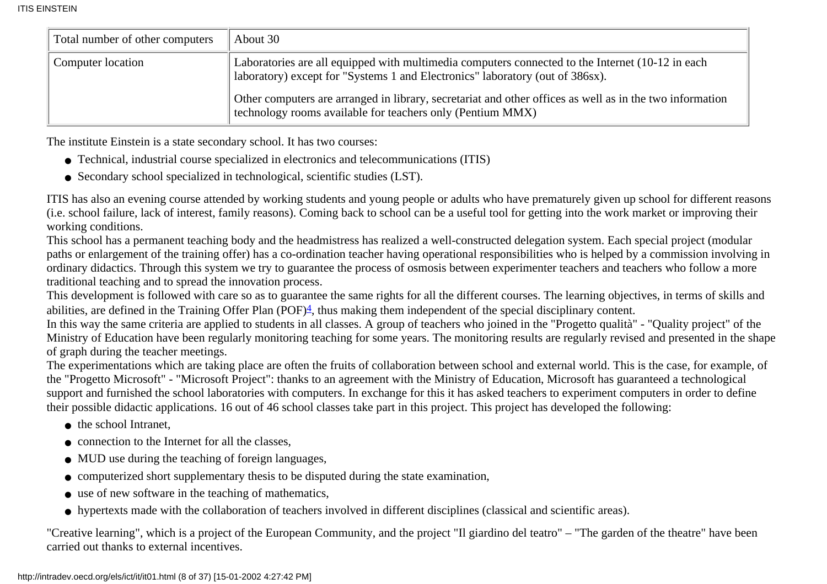| Total number of other computers | About 30                                                                                                                                                                         |
|---------------------------------|----------------------------------------------------------------------------------------------------------------------------------------------------------------------------------|
| Computer location               | Laboratories are all equipped with multimedia computers connected to the Internet (10-12 in each<br>aboratory) except for "Systems 1 and Electronics" laboratory (out of 386sx). |
|                                 | Other computers are arranged in library, secretariat and other offices as well as in the two information<br>technology rooms available for teachers only (Pentium MMX)           |

The institute Einstein is a state secondary school. It has two courses:

- Technical, industrial course specialized in electronics and telecommunications (ITIS)
- Secondary school specialized in technological, scientific studies (LST).

ITIS has also an evening course attended by working students and young people or adults who have prematurely given up school for different reasons (i.e. school failure, lack of interest, family reasons). Coming back to school can be a useful tool for getting into the work market or improving their working conditions.

This school has a permanent teaching body and the headmistress has realized a well-constructed delegation system. Each special project (modular paths or enlargement of the training offer) has a co-ordination teacher having operational responsibilities who is helped by a commission involving in ordinary didactics. Through this system we try to guarantee the process of osmosis between experimenter teachers and teachers who follow a more traditional teaching and to spread the innovation process.

<span id="page-7-0"></span>This development is followed with care so as to guarantee the same rights for all the different courses. The learning objectives, in terms of skills and abilities, are defined in the Training Offer Plan (POF) $\frac{4}{5}$ , thus making them independent of the special disciplinary content.

In this way the same criteria are applied to students in all classes. A group of teachers who joined in the "Progetto qualità" - "Quality project" of the Ministry of Education have been regularly monitoring teaching for some years. The monitoring results are regularly revised and presented in the shape of graph during the teacher meetings.

The experimentations which are taking place are often the fruits of collaboration between school and external world. This is the case, for example, of the "Progetto Microsoft" - "Microsoft Project": thanks to an agreement with the Ministry of Education, Microsoft has guaranteed a technological support and furnished the school laboratories with computers. In exchange for this it has asked teachers to experiment computers in order to define their possible didactic applications. 16 out of 46 school classes take part in this project. This project has developed the following:

- the school Intranet,
- connection to the Internet for all the classes.
- MUD use during the teaching of foreign languages,
- computerized short supplementary thesis to be disputed during the state examination,
- use of new software in the teaching of mathematics,
- hypertexts made with the collaboration of teachers involved in different disciplines (classical and scientific areas).

"Creative learning", which is a project of the European Community, and the project "Il giardino del teatro" – "The garden of the theatre" have been carried out thanks to external incentives.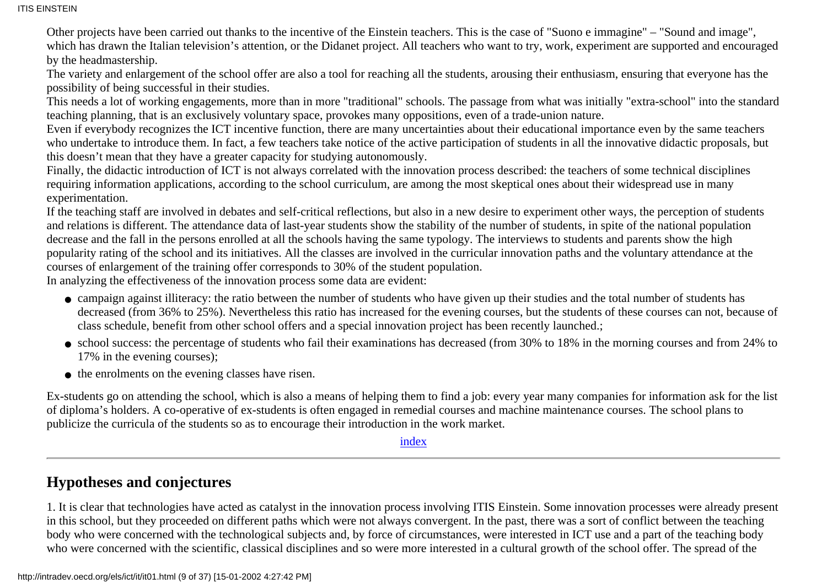ITIS EINSTEIN

Other projects have been carried out thanks to the incentive of the Einstein teachers. This is the case of "Suono e immagine" – "Sound and image", which has drawn the Italian television's attention, or the Didanet project. All teachers who want to try, work, experiment are supported and encouraged by the headmastership.

The variety and enlargement of the school offer are also a tool for reaching all the students, arousing their enthusiasm, ensuring that everyone has the possibility of being successful in their studies.

This needs a lot of working engagements, more than in more "traditional" schools. The passage from what was initially "extra-school" into the standard teaching planning, that is an exclusively voluntary space, provokes many oppositions, even of a trade-union nature.

Even if everybody recognizes the ICT incentive function, there are many uncertainties about their educational importance even by the same teachers who undertake to introduce them. In fact, a few teachers take notice of the active participation of students in all the innovative didactic proposals, but this doesn't mean that they have a greater capacity for studying autonomously.

Finally, the didactic introduction of ICT is not always correlated with the innovation process described: the teachers of some technical disciplines requiring information applications, according to the school curriculum, are among the most skeptical ones about their widespread use in many experimentation.

If the teaching staff are involved in debates and self-critical reflections, but also in a new desire to experiment other ways, the perception of students and relations is different. The attendance data of last-year students show the stability of the number of students, in spite of the national population decrease and the fall in the persons enrolled at all the schools having the same typology. The interviews to students and parents show the high popularity rating of the school and its initiatives. All the classes are involved in the curricular innovation paths and the voluntary attendance at the courses of enlargement of the training offer corresponds to 30% of the student population.

In analyzing the effectiveness of the innovation process some data are evident:

- campaign against illiteracy: the ratio between the number of students who have given up their studies and the total number of students has decreased (from 36% to 25%). Nevertheless this ratio has increased for the evening courses, but the students of these courses can not, because of class schedule, benefit from other school offers and a special innovation project has been recently launched.;
- school success: the percentage of students who fail their examinations has decreased (from 30% to 18% in the morning courses and from 24% to 17% in the evening courses);
- the enrolments on the evening classes have risen.

Ex-students go on attending the school, which is also a means of helping them to find a job: every year many companies for information ask for the list of diploma's holders. A co-operative of ex-students is often engaged in remedial courses and machine maintenance courses. The school plans to publicize the curricula of the students so as to encourage their introduction in the work market.

#### [index](#page-0-0)

### <span id="page-8-0"></span>**Hypotheses and conjectures**

1. It is clear that technologies have acted as catalyst in the innovation process involving ITIS Einstein. Some innovation processes were already present in this school, but they proceeded on different paths which were not always convergent. In the past, there was a sort of conflict between the teaching body who were concerned with the technological subjects and, by force of circumstances, were interested in ICT use and a part of the teaching body who were concerned with the scientific, classical disciplines and so were more interested in a cultural growth of the school offer. The spread of the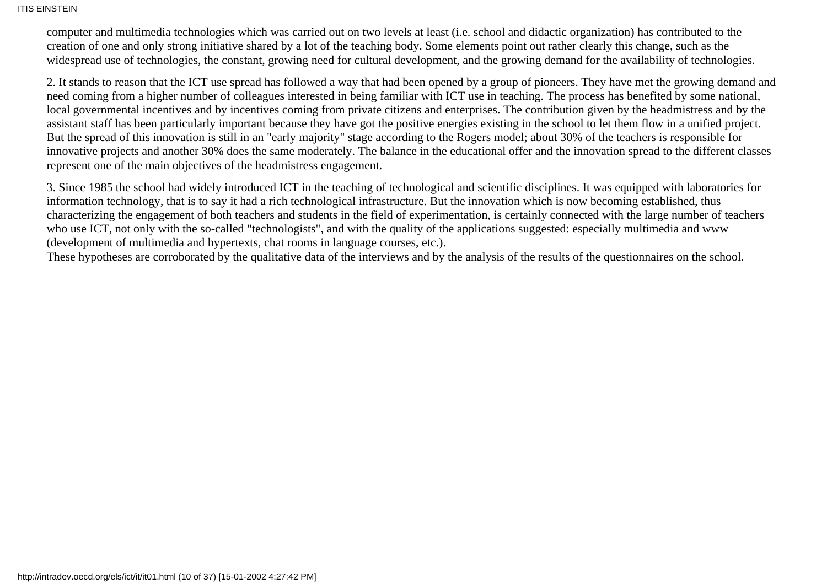#### ITIS EINSTEIN

computer and multimedia technologies which was carried out on two levels at least (i.e. school and didactic organization) has contributed to the creation of one and only strong initiative shared by a lot of the teaching body. Some elements point out rather clearly this change, such as the widespread use of technologies, the constant, growing need for cultural development, and the growing demand for the availability of technologies.

2. It stands to reason that the ICT use spread has followed a way that had been opened by a group of pioneers. They have met the growing demand and need coming from a higher number of colleagues interested in being familiar with ICT use in teaching. The process has benefited by some national, local governmental incentives and by incentives coming from private citizens and enterprises. The contribution given by the headmistress and by the assistant staff has been particularly important because they have got the positive energies existing in the school to let them flow in a unified project. But the spread of this innovation is still in an "early majority" stage according to the Rogers model; about 30% of the teachers is responsible for innovative projects and another 30% does the same moderately. The balance in the educational offer and the innovation spread to the different classes represent one of the main objectives of the headmistress engagement.

3. Since 1985 the school had widely introduced ICT in the teaching of technological and scientific disciplines. It was equipped with laboratories for information technology, that is to say it had a rich technological infrastructure. But the innovation which is now becoming established, thus characterizing the engagement of both teachers and students in the field of experimentation, is certainly connected with the large number of teachers who use ICT, not only with the so-called "technologists", and with the quality of the applications suggested: especially multimedia and www (development of multimedia and hypertexts, chat rooms in language courses, etc.).

These hypotheses are corroborated by the qualitative data of the interviews and by the analysis of the results of the questionnaires on the school.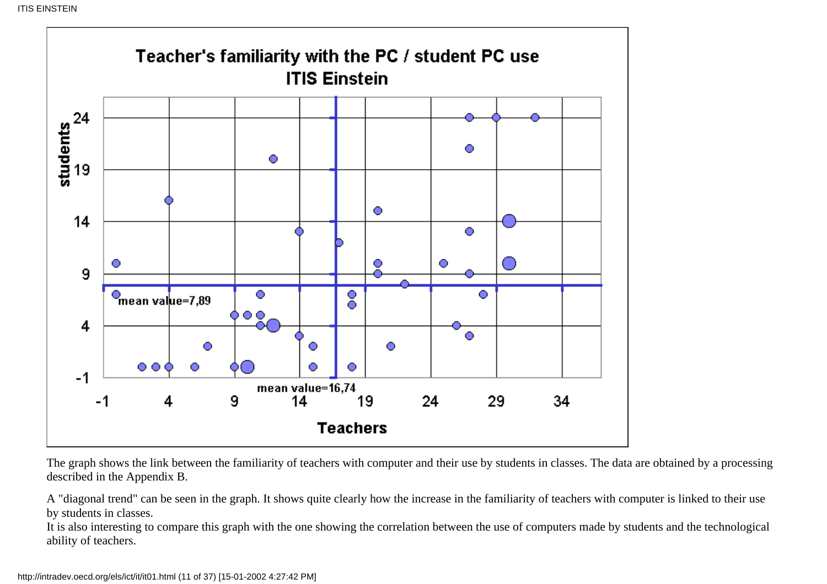

The graph shows the link between the familiarity of teachers with computer and their use by students in classes. The data are obtained by a processing described in the Appendix B.

A "diagonal trend" can be seen in the graph. It shows quite clearly how the increase in the familiarity of teachers with computer is linked to their use by students in classes.

It is also interesting to compare this graph with the one showing the correlation between the use of computers made by students and the technological ability of teachers.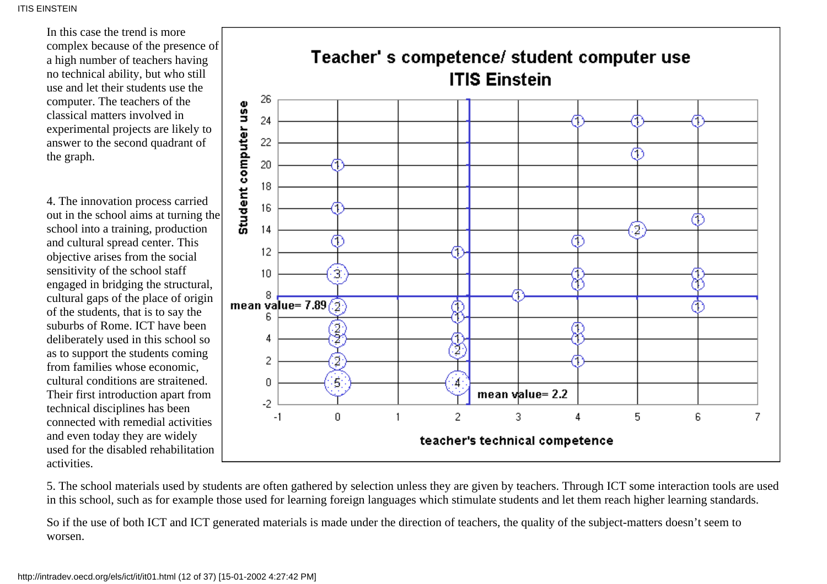In this case the trend is more complex because of the presence of a high number of teachers having no technical ability, but who still use and let their students use the computer. The teachers of the classical matters involved in experimental projects are likely to answer to the second quadrant of the graph.

4. The innovation process carried out in the school aims at turning the school into a training, production and cultural spread center. This objective arises from the social sensitivity of the school staff engaged in bridging the structural, cultural gaps of the place of origin of the students, that is to say the suburbs of Rome. ICT have been deliberately used in this school so as to support the students coming from families whose economic, cultural conditions are straitened. Their first introduction apart from technical disciplines has been connected with remedial activities and even today they are widely used for the disabled rehabilitation activities.



5. The school materials used by students are often gathered by selection unless they are given by teachers. Through ICT some interaction tools are used in this school, such as for example those used for learning foreign languages which stimulate students and let them reach higher learning standards.

So if the use of both ICT and ICT generated materials is made under the direction of teachers, the quality of the subject-matters doesn't seem to worsen.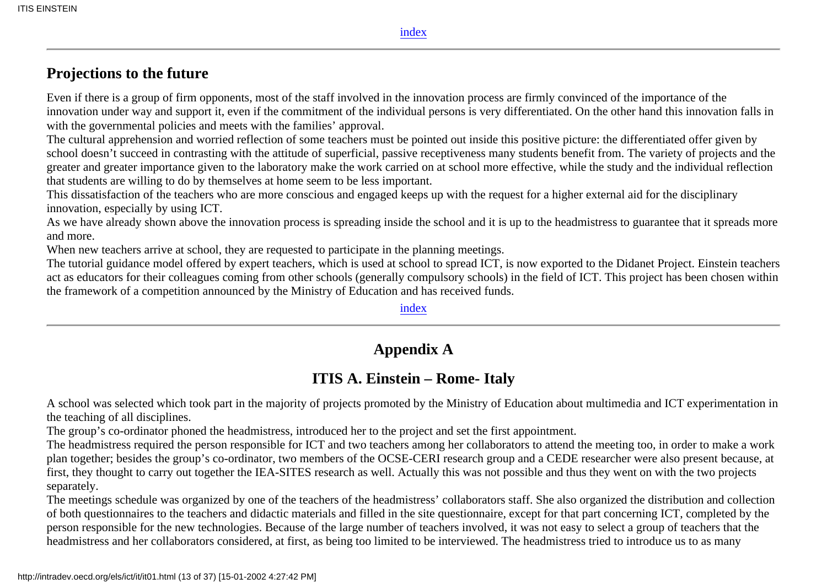[index](#page-0-0)

### <span id="page-12-0"></span>**Projections to the future**

Even if there is a group of firm opponents, most of the staff involved in the innovation process are firmly convinced of the importance of the innovation under way and support it, even if the commitment of the individual persons is very differentiated. On the other hand this innovation falls in with the governmental policies and meets with the families' approval.

The cultural apprehension and worried reflection of some teachers must be pointed out inside this positive picture: the differentiated offer given by school doesn't succeed in contrasting with the attitude of superficial, passive receptiveness many students benefit from. The variety of projects and the greater and greater importance given to the laboratory make the work carried on at school more effective, while the study and the individual reflection that students are willing to do by themselves at home seem to be less important.

This dissatisfaction of the teachers who are more conscious and engaged keeps up with the request for a higher external aid for the disciplinary innovation, especially by using ICT.

As we have already shown above the innovation process is spreading inside the school and it is up to the headmistress to guarantee that it spreads more and more.

When new teachers arrive at school, they are requested to participate in the planning meetings.

The tutorial guidance model offered by expert teachers, which is used at school to spread ICT, is now exported to the Didanet Project. Einstein teachers act as educators for their colleagues coming from other schools (generally compulsory schools) in the field of ICT. This project has been chosen within the framework of a competition announced by the Ministry of Education and has received funds.

#### [index](#page-0-0)

### **Appendix A**

### **ITIS A. Einstein – Rome- Italy**

<span id="page-12-1"></span>A school was selected which took part in the majority of projects promoted by the Ministry of Education about multimedia and ICT experimentation in the teaching of all disciplines.

The group's co-ordinator phoned the headmistress, introduced her to the project and set the first appointment.

The headmistress required the person responsible for ICT and two teachers among her collaborators to attend the meeting too, in order to make a work plan together; besides the group's co-ordinator, two members of the OCSE-CERI research group and a CEDE researcher were also present because, at first, they thought to carry out together the IEA-SITES research as well. Actually this was not possible and thus they went on with the two projects separately.

The meetings schedule was organized by one of the teachers of the headmistress' collaborators staff. She also organized the distribution and collection of both questionnaires to the teachers and didactic materials and filled in the site questionnaire, except for that part concerning ICT, completed by the person responsible for the new technologies. Because of the large number of teachers involved, it was not easy to select a group of teachers that the headmistress and her collaborators considered, at first, as being too limited to be interviewed. The headmistress tried to introduce us to as many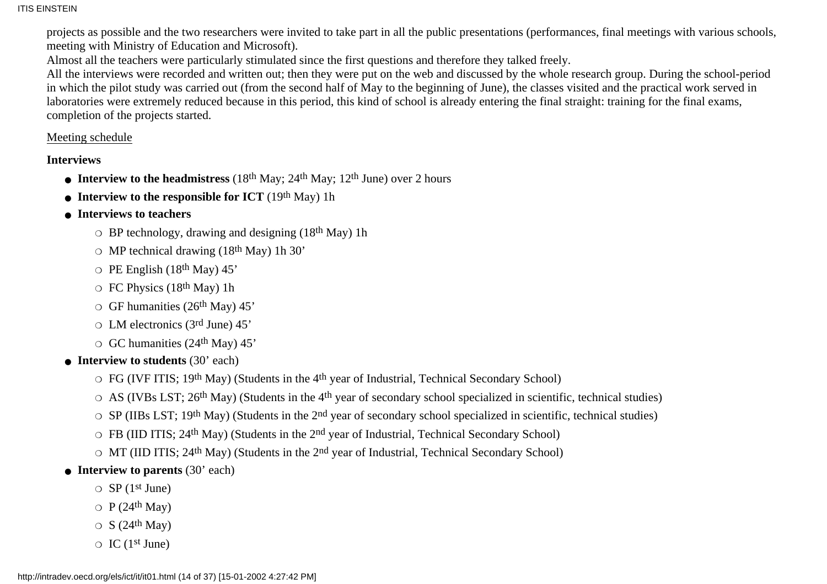projects as possible and the two researchers were invited to take part in all the public presentations (performances, final meetings with various schools, meeting with Ministry of Education and Microsoft).

Almost all the teachers were particularly stimulated since the first questions and therefore they talked freely.

All the interviews were recorded and written out; then they were put on the web and discussed by the whole research group. During the school-period in which the pilot study was carried out (from the second half of May to the beginning of June), the classes visited and the practical work served in laboratories were extremely reduced because in this period, this kind of school is already entering the final straight: training for the final exams, completion of the projects started.

#### Meeting schedule

#### **Interviews**

- Interview to the headmistress  $(18<sup>th</sup> \text{ May}; 24<sup>th</sup> \text{ May}; 12<sup>th</sup> \text{ June})$  over 2 hours
- Interview to the responsible for ICT  $(19<sup>th</sup> \text{ May})$  1h
- **Interviews to teachers**
	- $\circ$  BP technology, drawing and designing (18<sup>th</sup> May) 1h
	- $\circ$  MP technical drawing (18<sup>th</sup> May) 1h 30'
	- $\circ$  PE English (18<sup>th</sup> May) 45'
	- $\circ$  FC Physics (18<sup>th</sup> May) 1h
	- $\circ$  GF humanities (26<sup>th</sup> May) 45'
	- $\circ$  LM electronics (3rd June) 45'
	- $\circ$  GC humanities (24<sup>th</sup> May) 45'
- Interview to students (30' each)
	- $\circ$  FG (IVF ITIS; 19th May) (Students in the 4<sup>th</sup> year of Industrial, Technical Secondary School)
	- $\circ$  AS (IVBs LST; 26<sup>th</sup> May) (Students in the 4<sup>th</sup> year of secondary school specialized in scientific, technical studies)
	- $\circ$  SP (IIBs LST; 19th May) (Students in the 2<sup>nd</sup> year of secondary school specialized in scientific, technical studies)
	- $\circ$  FB (IID ITIS; 24<sup>th</sup> May) (Students in the 2<sup>nd</sup> year of Industrial, Technical Secondary School)
	- $\circ$  MT (IID ITIS; 24<sup>th</sup> May) (Students in the 2<sup>nd</sup> year of Industrial, Technical Secondary School)
- Interview to parents (30' each)
	- $\circ$  SP (1<sup>st</sup> June)
	- $\circ$  P (24<sup>th</sup> May)
	- $\circ$  S (24<sup>th</sup> May)
	- $\circ$  IC (1<sup>st</sup> June)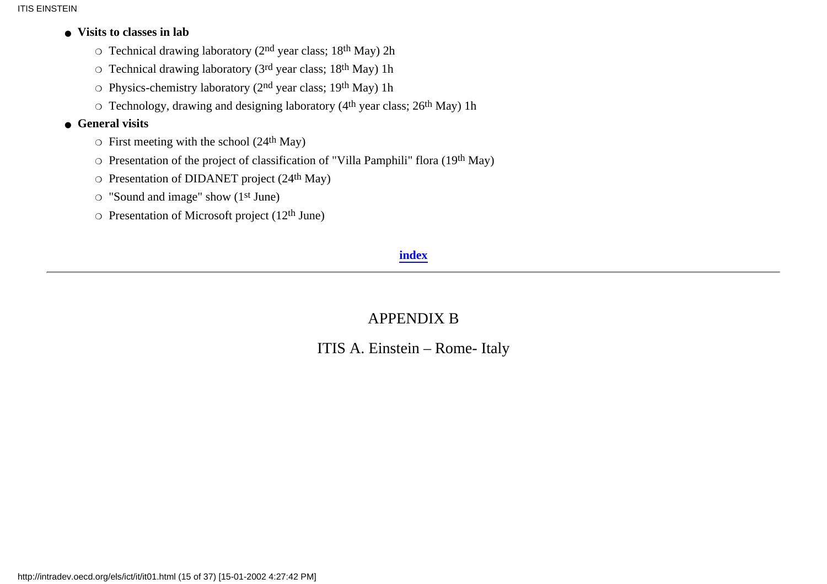#### **Visits to classes in lab** ●

- $\circ$  Technical drawing laboratory (2<sup>nd</sup> year class; 18<sup>th</sup> May) 2h
- $\circ$  Technical drawing laboratory (3<sup>rd</sup> year class; 18<sup>th</sup> May) 1h
- $\circ$  Physics-chemistry laboratory (2<sup>nd</sup> year class; 19<sup>th</sup> May) 1h
- $\circ$  Technology, drawing and designing laboratory (4<sup>th</sup> year class; 26<sup>th</sup> May) 1h

#### **General visits** ●

- $\circ$  First meeting with the school (24<sup>th</sup> May)
- $\circ$  Presentation of the project of classification of "Villa Pamphili" flora (19th May)
- $\circ$  Presentation of DIDANET project (24<sup>th</sup> May)
- $\circ$  "Sound and image" show (1<sup>st</sup> June)
- <span id="page-14-0"></span> $\circ$  Presentation of Microsoft project (12<sup>th</sup> June)

### **[index](#page-0-0)**

## APPENDIX B

ITIS A. Einstein – Rome- Italy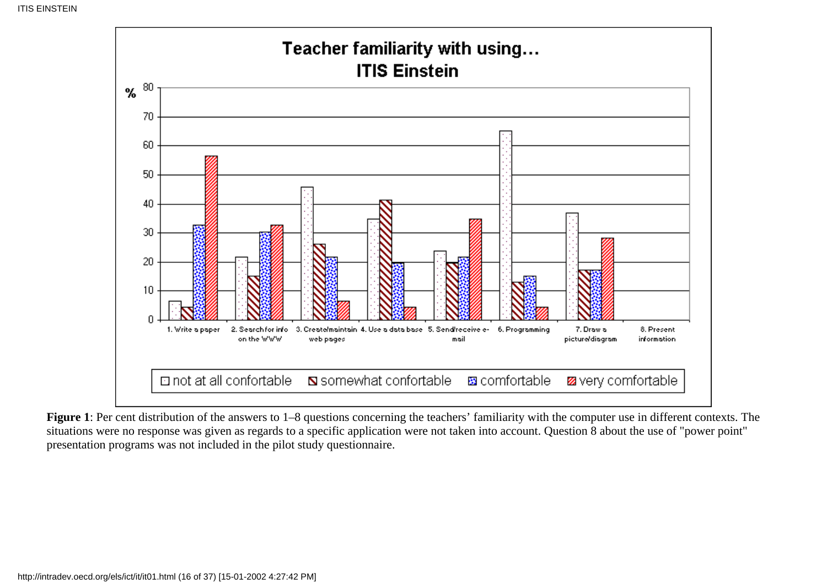

**Figure 1**: Per cent distribution of the answers to 1–8 questions concerning the teachers' familiarity with the computer use in different contexts. The situations were no response was given as regards to a specific application were not taken into account. Question 8 about the use of "power point" presentation programs was not included in the pilot study questionnaire.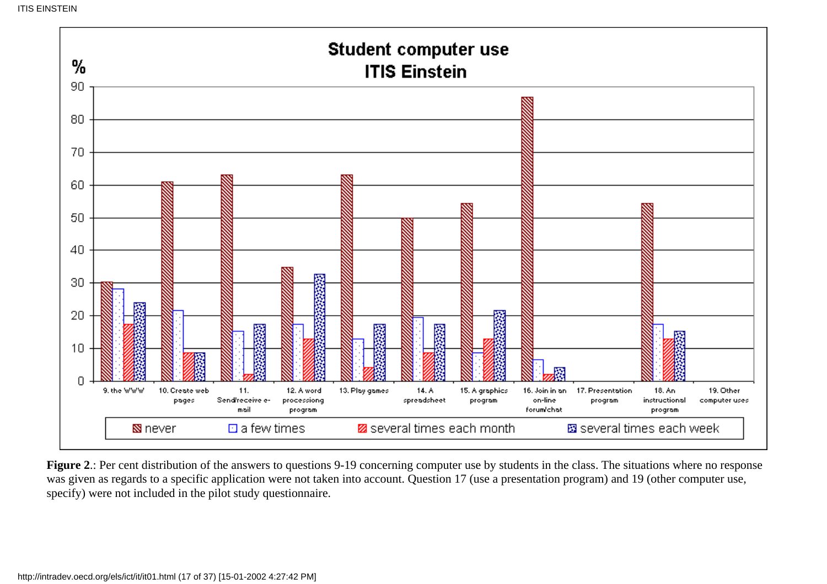

**Figure 2**.: Per cent distribution of the answers to questions 9-19 concerning computer use by students in the class. The situations where no response was given as regards to a specific application were not taken into account. Question 17 (use a presentation program) and 19 (other computer use, specify) were not included in the pilot study questionnaire.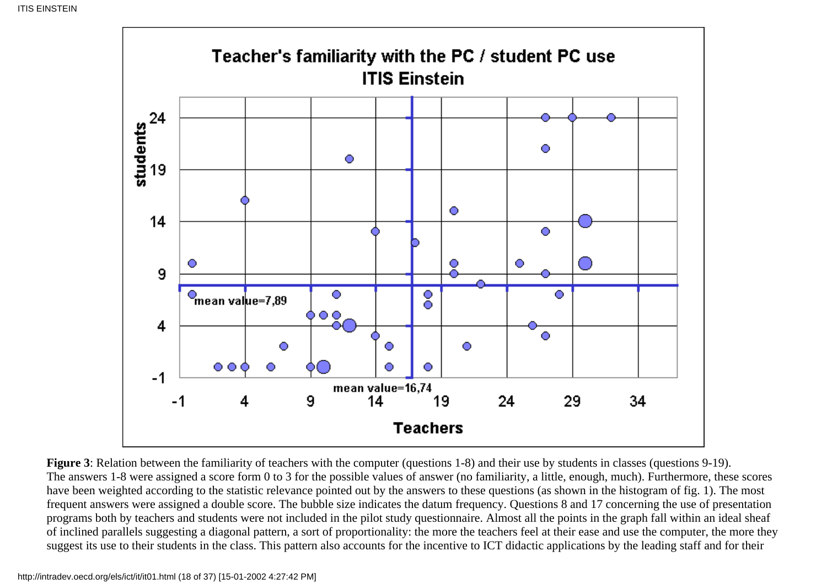

**Figure 3**: Relation between the familiarity of teachers with the computer (questions 1-8) and their use by students in classes (questions 9-19). The answers 1-8 were assigned a score form 0 to 3 for the possible values of answer (no familiarity, a little, enough, much). Furthermore, these scores have been weighted according to the statistic relevance pointed out by the answers to these questions (as shown in the histogram of fig. 1). The most frequent answers were assigned a double score. The bubble size indicates the datum frequency. Questions 8 and 17 concerning the use of presentation programs both by teachers and students were not included in the pilot study questionnaire. Almost all the points in the graph fall within an ideal sheaf of inclined parallels suggesting a diagonal pattern, a sort of proportionality: the more the teachers feel at their ease and use the computer, the more they suggest its use to their students in the class. This pattern also accounts for the incentive to ICT didactic applications by the leading staff and for their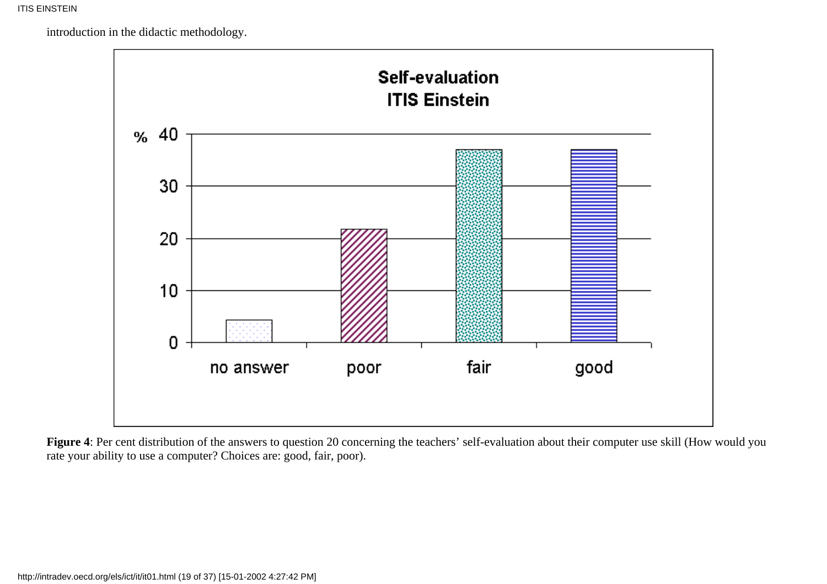introduction in the didactic methodology.



**Figure 4**: Per cent distribution of the answers to question 20 concerning the teachers' self-evaluation about their computer use skill (How would you rate your ability to use a computer? Choices are: good, fair, poor).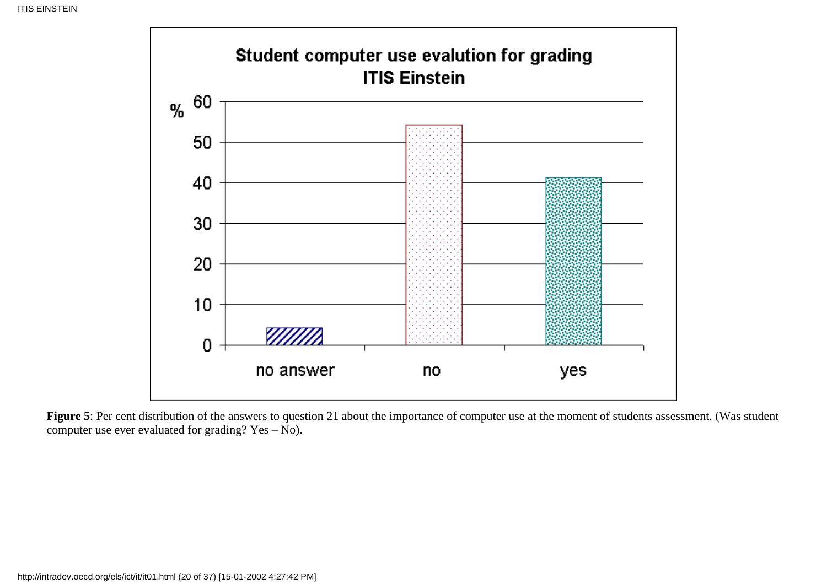

Figure 5: Per cent distribution of the answers to question 21 about the importance of computer use at the moment of students assessment. (Was student computer use ever evaluated for grading? Yes – No).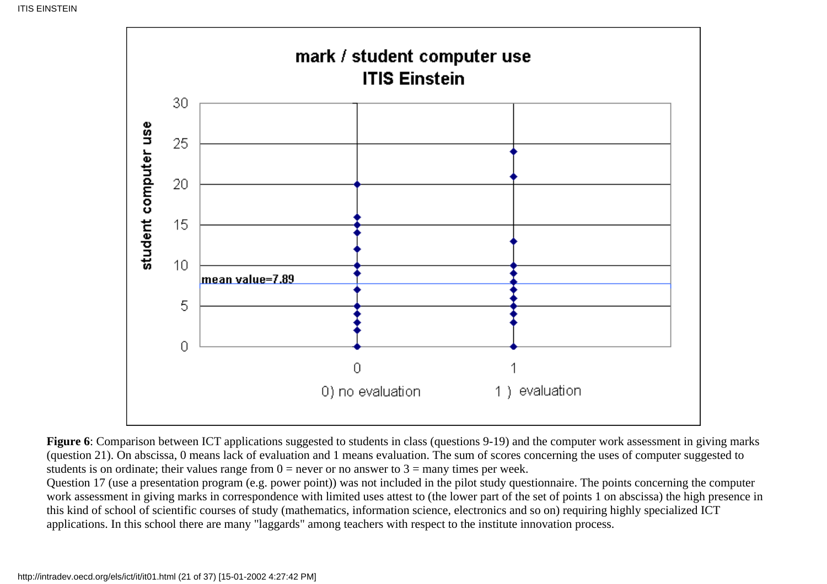

**Figure 6**: Comparison between ICT applications suggested to students in class (questions 9-19) and the computer work assessment in giving marks (question 21). On abscissa, 0 means lack of evaluation and 1 means evaluation. The sum of scores concerning the uses of computer suggested to students is on ordinate; their values range from  $0 =$  never or no answer to  $3 =$  many times per week.

Question 17 (use a presentation program (e.g. power point)) was not included in the pilot study questionnaire. The points concerning the computer work assessment in giving marks in correspondence with limited uses attest to (the lower part of the set of points 1 on abscissa) the high presence in this kind of school of scientific courses of study (mathematics, information science, electronics and so on) requiring highly specialized ICT applications. In this school there are many "laggards" among teachers with respect to the institute innovation process.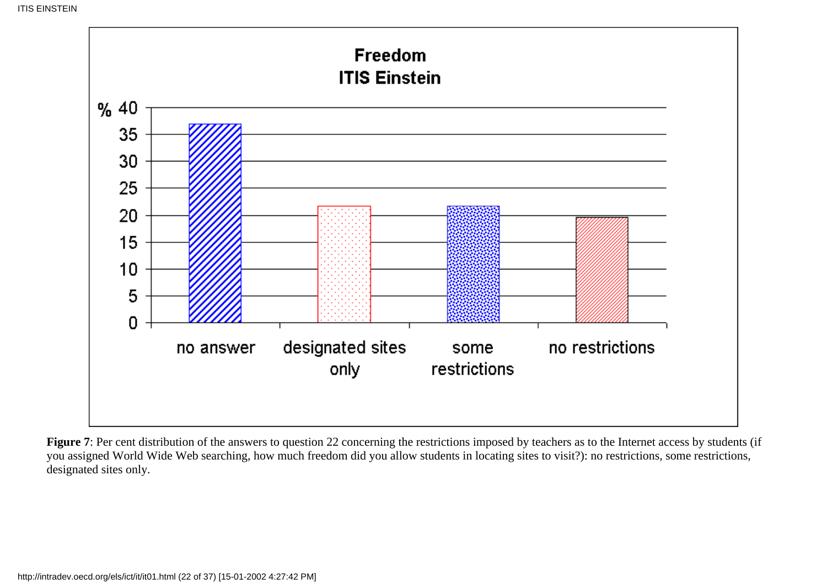

Figure 7: Per cent distribution of the answers to question 22 concerning the restrictions imposed by teachers as to the Internet access by students (if you assigned World Wide Web searching, how much freedom did you allow students in locating sites to visit?): no restrictions, some restrictions, designated sites only.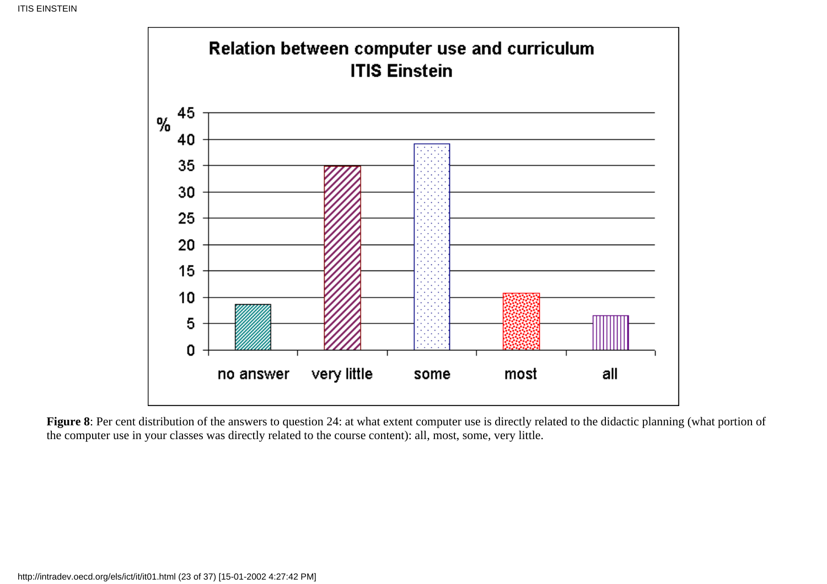

**Figure 8**: Per cent distribution of the answers to question 24: at what extent computer use is directly related to the didactic planning (what portion of the computer use in your classes was directly related to the course content): all, most, some, very little.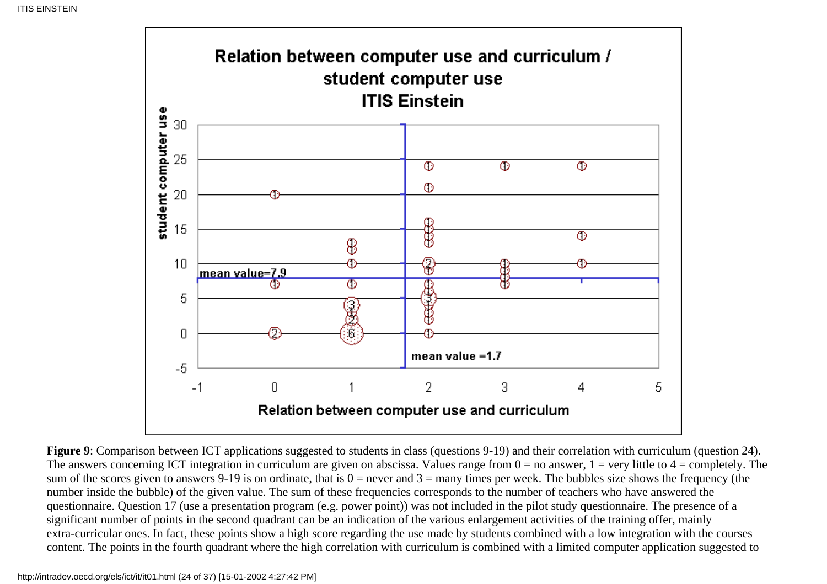

**Figure 9**: Comparison between ICT applications suggested to students in class (questions 9-19) and their correlation with curriculum (question 24). The answers concerning ICT integration in curriculum are given on abscissa. Values range from  $0 =$  no answer,  $1 =$  very little to  $4 =$  completely. The sum of the scores given to answers 9-19 is on ordinate, that is  $0 =$  never and  $3 =$  many times per week. The bubbles size shows the frequency (the number inside the bubble) of the given value. The sum of these frequencies corresponds to the number of teachers who have answered the questionnaire. Question 17 (use a presentation program (e.g. power point)) was not included in the pilot study questionnaire. The presence of a significant number of points in the second quadrant can be an indication of the various enlargement activities of the training offer, mainly extra-curricular ones. In fact, these points show a high score regarding the use made by students combined with a low integration with the courses content. The points in the fourth quadrant where the high correlation with curriculum is combined with a limited computer application suggested to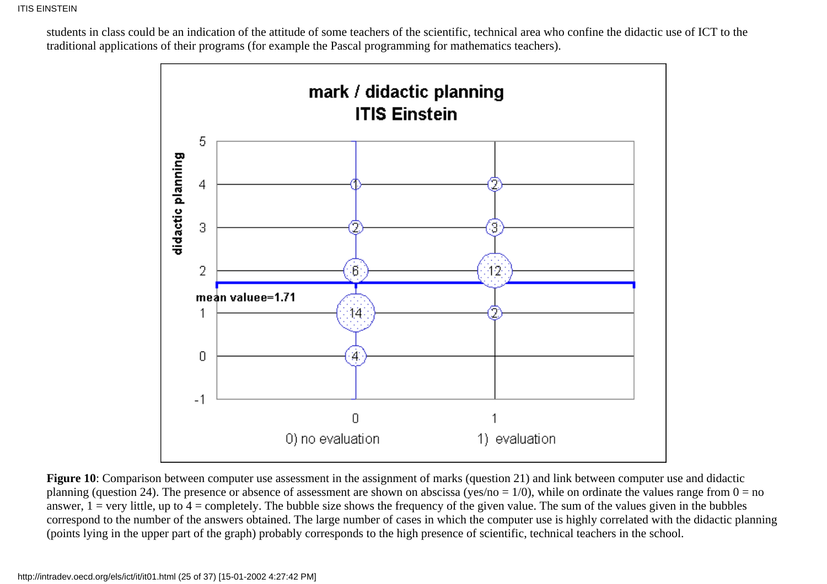students in class could be an indication of the attitude of some teachers of the scientific, technical area who confine the didactic use of ICT to the traditional applications of their programs (for example the Pascal programming for mathematics teachers).



**Figure 10**: Comparison between computer use assessment in the assignment of marks (question 21) and link between computer use and didactic planning (question 24). The presence or absence of assessment are shown on abscissa (yes/no = 1/0), while on ordinate the values range from  $0 = no$ answer,  $1 = \text{very little, up to } 4 = \text{completely.}$  The bubble size shows the frequency of the given value. The sum of the values given in the bubbles correspond to the number of the answers obtained. The large number of cases in which the computer use is highly correlated with the didactic planning (points lying in the upper part of the graph) probably corresponds to the high presence of scientific, technical teachers in the school.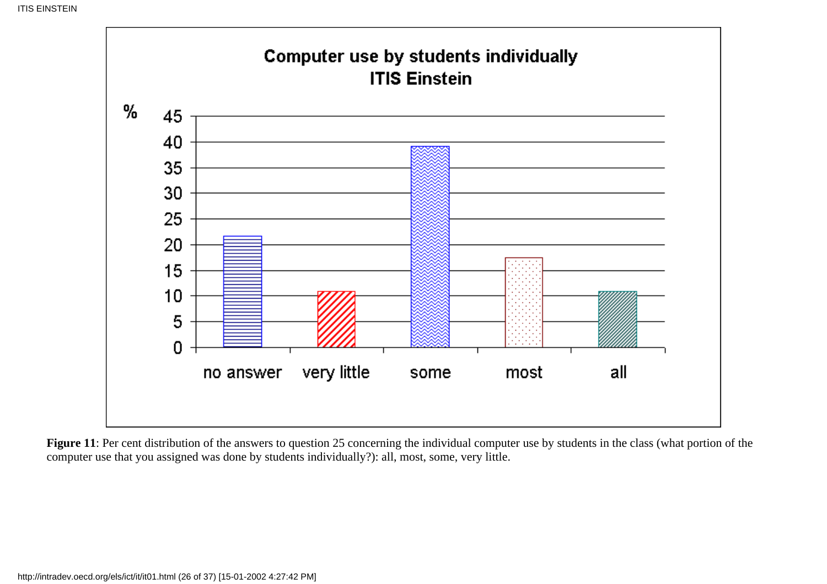![](_page_25_Figure_1.jpeg)

Figure 11: Per cent distribution of the answers to question 25 concerning the individual computer use by students in the class (what portion of the computer use that you assigned was done by students individually?): all, most, some, very little.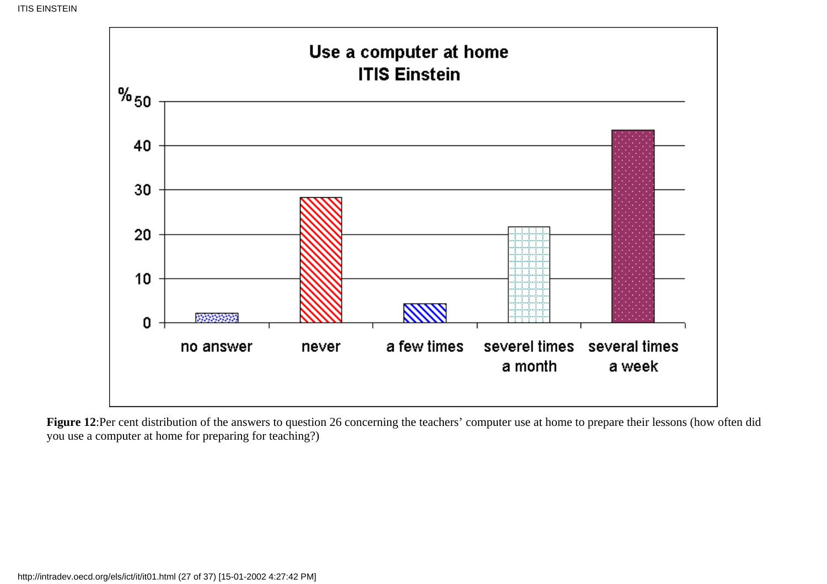![](_page_26_Figure_1.jpeg)

Figure 12:Per cent distribution of the answers to question 26 concerning the teachers' computer use at home to prepare their lessons (how often did you use a computer at home for preparing for teaching?)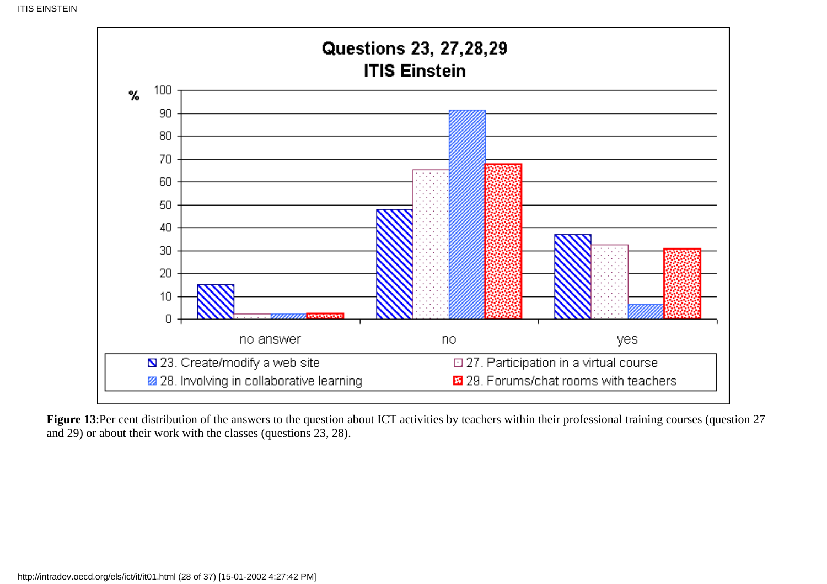![](_page_27_Figure_1.jpeg)

Figure 13:Per cent distribution of the answers to the question about ICT activities by teachers within their professional training courses (question 27 and 29) or about their work with the classes (questions 23, 28).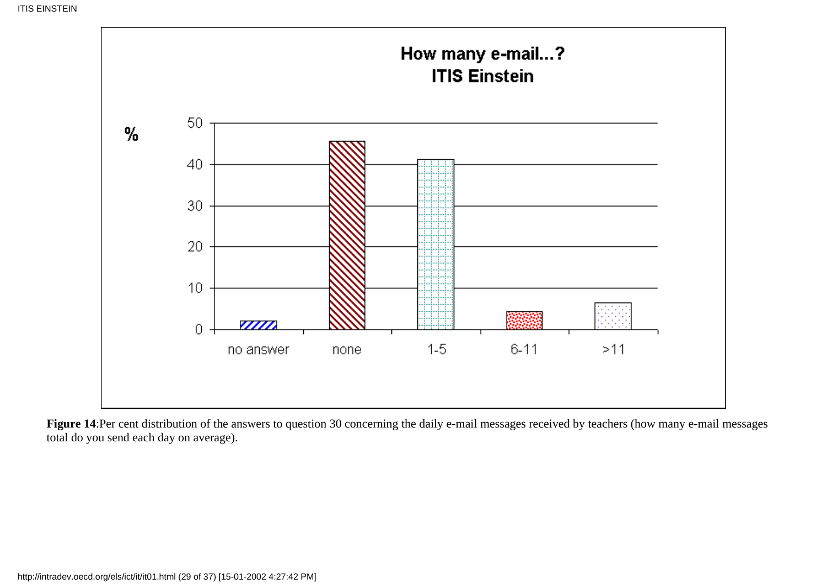![](_page_28_Figure_1.jpeg)

Figure 14:Per cent distribution of the answers to question 30 concerning the daily e-mail messages received by teachers (how many e-mail messages total do you send each day on average).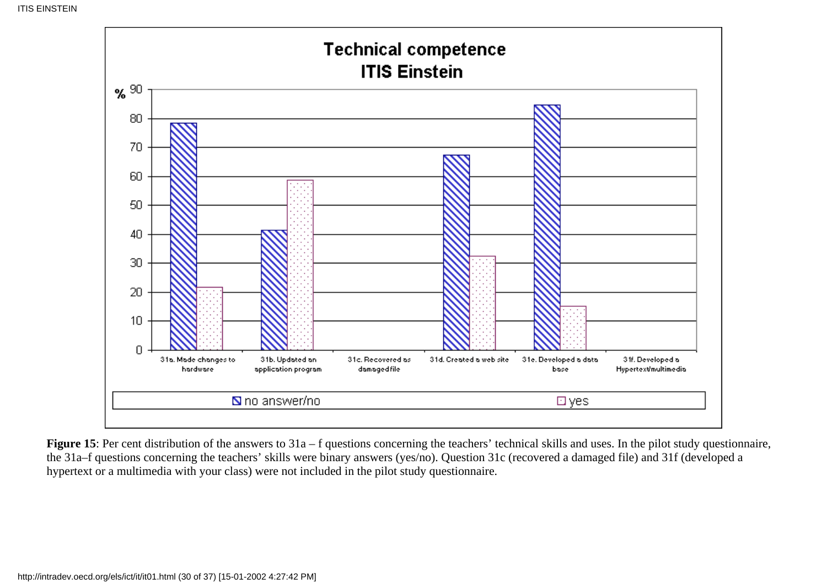![](_page_29_Figure_1.jpeg)

**Figure 15**: Per cent distribution of the answers to 31a – f questions concerning the teachers' technical skills and uses. In the pilot study questionnaire, the 31a–f questions concerning the teachers' skills were binary answers (yes/no). Question 31c (recovered a damaged file) and 31f (developed a hypertext or a multimedia with your class) were not included in the pilot study questionnaire.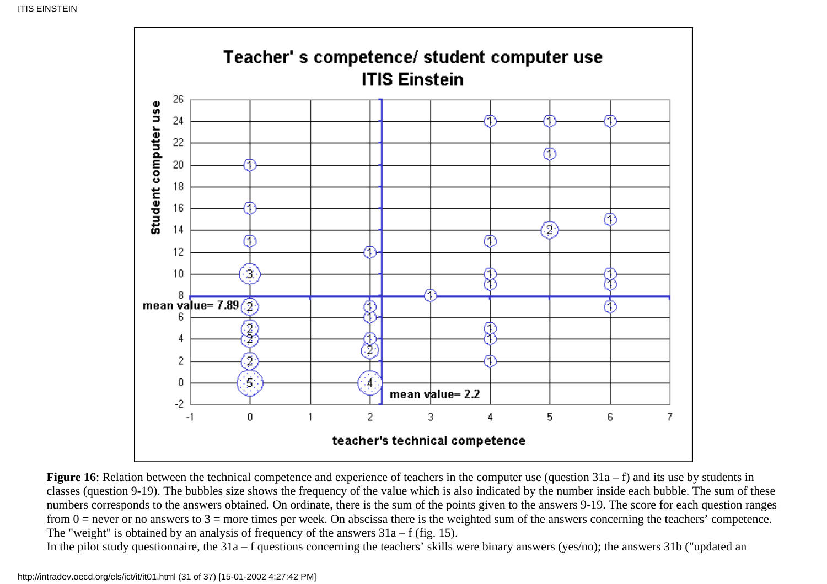![](_page_30_Figure_1.jpeg)

**Figure 16**: Relation between the technical competence and experience of teachers in the computer use (question 31a – f) and its use by students in classes (question 9-19). The bubbles size shows the frequency of the value which is also indicated by the number inside each bubble. The sum of these numbers corresponds to the answers obtained. On ordinate, there is the sum of the points given to the answers 9-19. The score for each question ranges from  $0 =$  never or no answers to  $3 =$  more times per week. On abscissa there is the weighted sum of the answers concerning the teachers' competence. The "weight" is obtained by an analysis of frequency of the answers  $31a - f$  (fig. 15).

In the pilot study questionnaire, the 31a – f questions concerning the teachers' skills were binary answers (yes/no); the answers 31b ("updated an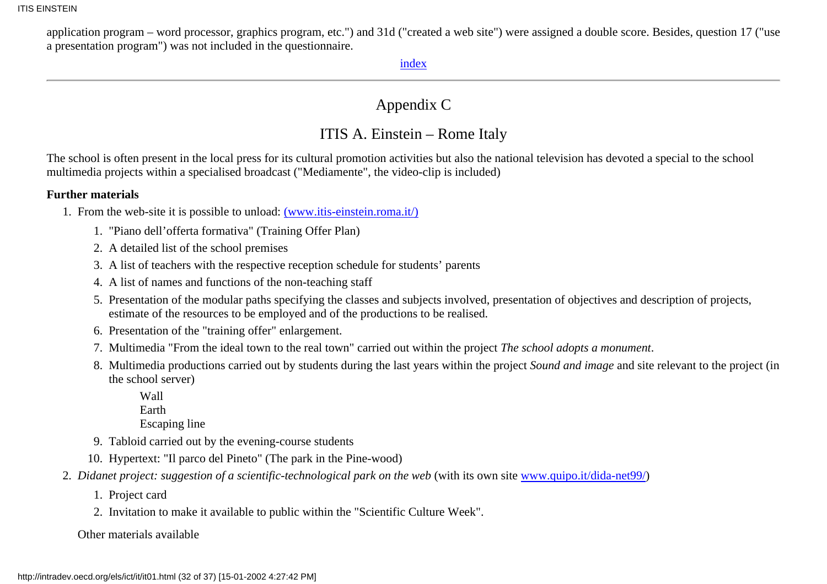<span id="page-31-0"></span>application program – word processor, graphics program, etc.") and 31d ("created a web site") were assigned a double score. Besides, question 17 ("use a presentation program") was not included in the questionnaire.

[index](#page-0-0)

### Appendix C

### ITIS A. Einstein – Rome Italy

The school is often present in the local press for its cultural promotion activities but also the national television has devoted a special to the school multimedia projects within a specialised broadcast ("Mediamente", the video-clip is included)

#### **Further materials**

- 1. From the web-site it is possible to unload: [\(www.itis-einstein.roma.it/\)](http://www.itis-einstein.roma.it/)
	- 1. "Piano dell'offerta formativa" (Training Offer Plan)
	- 2. A detailed list of the school premises
	- 3. A list of teachers with the respective reception schedule for students' parents
	- 4. A list of names and functions of the non-teaching staff
	- 5. Presentation of the modular paths specifying the classes and subjects involved, presentation of objectives and description of projects, estimate of the resources to be employed and of the productions to be realised.
	- 6. Presentation of the "training offer" enlargement.
	- 7. Multimedia "From the ideal town to the real town" carried out within the project *The school adopts a monument*.
	- 8. Multimedia productions carried out by students during the last years within the project Sound and image and site relevant to the project (in the school server)
		- Wall
		- Earth

Escaping line

- 9. Tabloid carried out by the evening-course students
- 10. Hypertext: "Il parco del Pineto" (The park in the Pine-wood)
- 2. Didanet project: suggestion of a scientific-technological park on the web (with its own site [www.quipo.it/dida-net99/](http://www.quipo.it/dida-net99/))
	- 1. Project card
	- 2. Invitation to make it available to public within the "Scientific Culture Week".

### Other materials available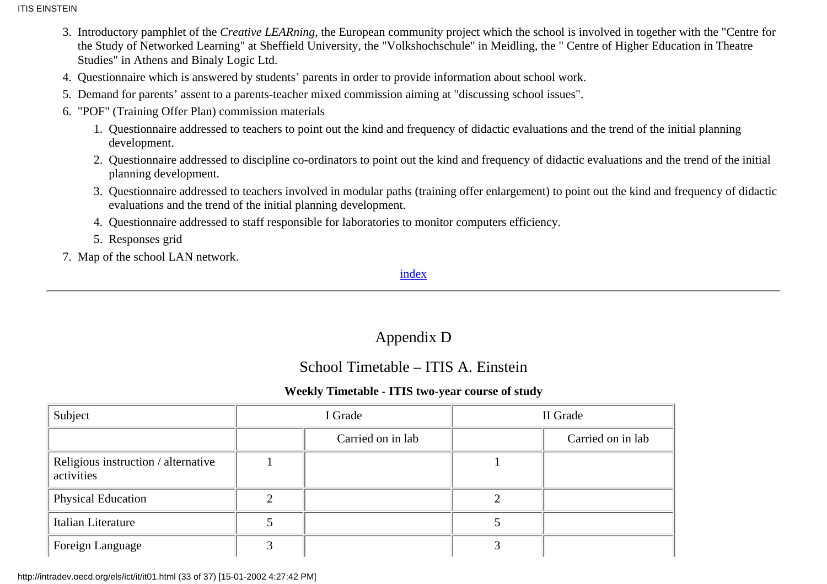**ITIS EINSTEIN** 

- 3. Introductory pamphlet of the *Creative LEARning*, the European community project which the school is involved in together with the "Centre for the Study of Networked Learning" at Sheffield University, the "Volkshochschule" in Meidling, the " Centre of Higher Education in Theatre Studies" in Athens and Binaly Logic Ltd.
- 4. Questionnaire which is answered by students' parents in order to provide information about school work.
- 5. Demand for parents' assent to a parents-teacher mixed commission aiming at "discussing school issues".
- 6. "POF" (Training Offer Plan) commission materials
	- Questionnaire addressed to teachers to point out the kind and frequency of didactic evaluations and the trend of the initial planning 1. development.
	- Questionnaire addressed to discipline co-ordinators to point out the kind and frequency of didactic evaluations and the trend of the initial 2. planning development.
	- Questionnaire addressed to teachers involved in modular paths (training offer enlargement) to point out the kind and frequency of didactic 3. evaluations and the trend of the initial planning development.
	- 4. Questionnaire addressed to staff responsible for laboratories to monitor computers efficiency.
	- 5. Responses grid
- <span id="page-32-0"></span>7. Map of the school LAN network.

[index](#page-0-0)

## Appendix D

### School Timetable – ITIS A. Einstein

### **Weekly Timetable - ITIS two-year course of study**

| Subject                                           |   | I Grade           | II Grade |                   |  |  |
|---------------------------------------------------|---|-------------------|----------|-------------------|--|--|
|                                                   |   | Carried on in lab |          | Carried on in lab |  |  |
| Religious instruction / alternative<br>activities |   |                   |          |                   |  |  |
| Physical Education                                | ↑ |                   |          |                   |  |  |
| Italian Literature                                |   |                   |          |                   |  |  |
| Foreign Language                                  |   |                   |          |                   |  |  |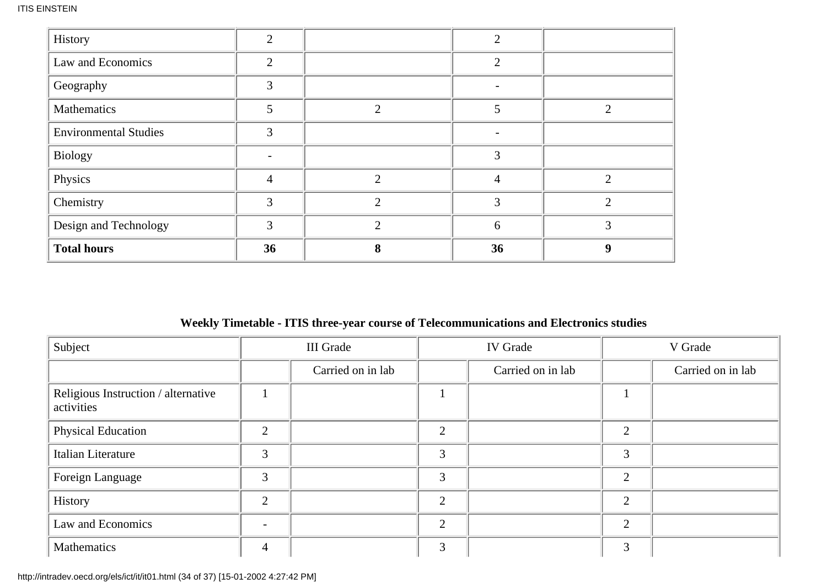| History                      | $\overline{2}$ |                | $\overline{2}$ |   |
|------------------------------|----------------|----------------|----------------|---|
| Law and Economics            | $\overline{2}$ |                | $\overline{2}$ |   |
| Geography                    | 3              |                |                |   |
| Mathematics                  | 5              | $\overline{2}$ | 5              |   |
| <b>Environmental Studies</b> | 3              |                |                |   |
| <b>Biology</b>               |                |                | 3              |   |
| Physics                      | 4              | $\overline{2}$ | 4              | ↑ |
| Chemistry                    | 3              | $\overline{2}$ | 3              | ↑ |
| Design and Technology        | 3              | $\overline{2}$ | 6              | 3 |
| <b>Total hours</b>           | 36             | 8              | 36             | 9 |

### **Weekly Timetable - ITIS three-year course of Telecommunications and Electronics studies**

| Subject                                           |                          | <b>III</b> Grade  |                | <b>IV</b> Grade   | V Grade       |                   |  |
|---------------------------------------------------|--------------------------|-------------------|----------------|-------------------|---------------|-------------------|--|
|                                                   |                          | Carried on in lab |                | Carried on in lab |               | Carried on in lab |  |
| Religious Instruction / alternative<br>activities |                          |                   |                |                   |               |                   |  |
| Physical Education                                | $\overline{2}$           |                   | 2              |                   | $\mathcal{D}$ |                   |  |
| Italian Literature                                | 3                        |                   | 3              |                   | 3             |                   |  |
| Foreign Language                                  | 3                        |                   | 3              |                   | $\gamma$      |                   |  |
| History                                           | $\overline{2}$           |                   | $\overline{2}$ |                   | $\mathcal{D}$ |                   |  |
| Law and Economics                                 | $\overline{\phantom{a}}$ |                   | $\overline{2}$ |                   | $\mathcal{D}$ |                   |  |
| Mathematics                                       | $\overline{4}$           |                   | 3              |                   | 3             |                   |  |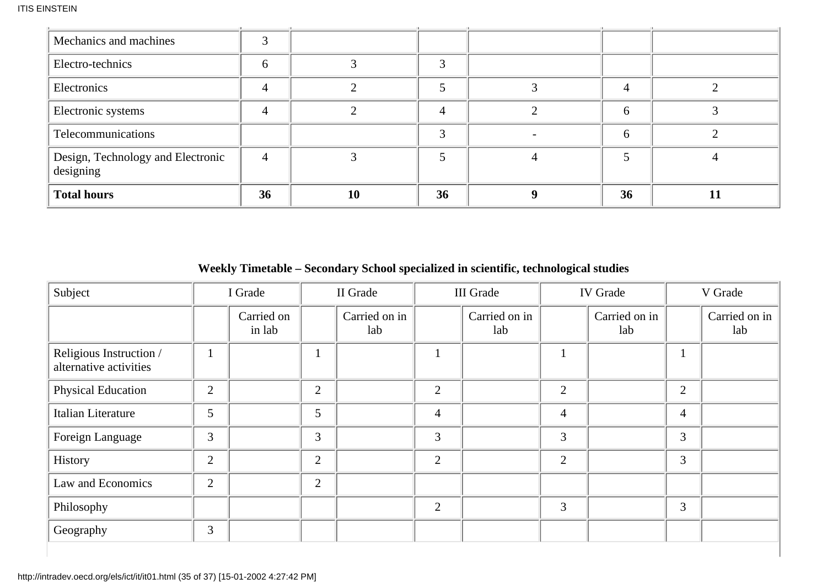| Mechanics and machines                         | 3              |    |    |              |  |
|------------------------------------------------|----------------|----|----|--------------|--|
| Electro-technics                               | 6              |    |    |              |  |
| Electronics                                    | 4              |    |    |              |  |
| Electronic systems                             | 4              |    | 4  | <sub>6</sub> |  |
| Telecommunications                             |                |    | 3  | <sub>0</sub> |  |
| Design, Technology and Electronic<br>designing | $\overline{4}$ |    |    |              |  |
| <b>Total hours</b>                             | 36             | 10 | 36 | 36           |  |

**Weekly Timetable – Secondary School specialized in scientific, technological studies**

| Subject                                           |                | I Grade              |                | II Grade             |                | <b>III</b> Grade     | <b>IV</b> Grade |                      | V Grade        |                      |
|---------------------------------------------------|----------------|----------------------|----------------|----------------------|----------------|----------------------|-----------------|----------------------|----------------|----------------------|
|                                                   |                | Carried on<br>in lab |                | Carried on in<br>lab |                | Carried on in<br>lab |                 | Carried on in<br>lab |                | Carried on in<br>lab |
| Religious Instruction /<br>alternative activities |                |                      |                |                      | $\mathbf{1}$   |                      |                 |                      |                |                      |
| Physical Education                                | $\overline{2}$ |                      | $\overline{2}$ |                      | 2              |                      | $\overline{2}$  |                      | $\overline{2}$ |                      |
| Italian Literature                                | 5              |                      | 5              |                      | $\overline{4}$ |                      | $\overline{4}$  |                      | $\overline{4}$ |                      |
| Foreign Language                                  | 3              |                      | 3              |                      | 3              |                      | 3               |                      | 3              |                      |
| History                                           | $\overline{2}$ |                      | $\overline{2}$ |                      | 2              |                      | $\overline{2}$  |                      | $\overline{3}$ |                      |
| Law and Economics                                 | 2              |                      | $\overline{2}$ |                      |                |                      |                 |                      |                |                      |
| Philosophy                                        |                |                      |                |                      | 2              |                      | 3               |                      | 3              |                      |
| Geography                                         | $\overline{3}$ |                      |                |                      |                |                      |                 |                      |                |                      |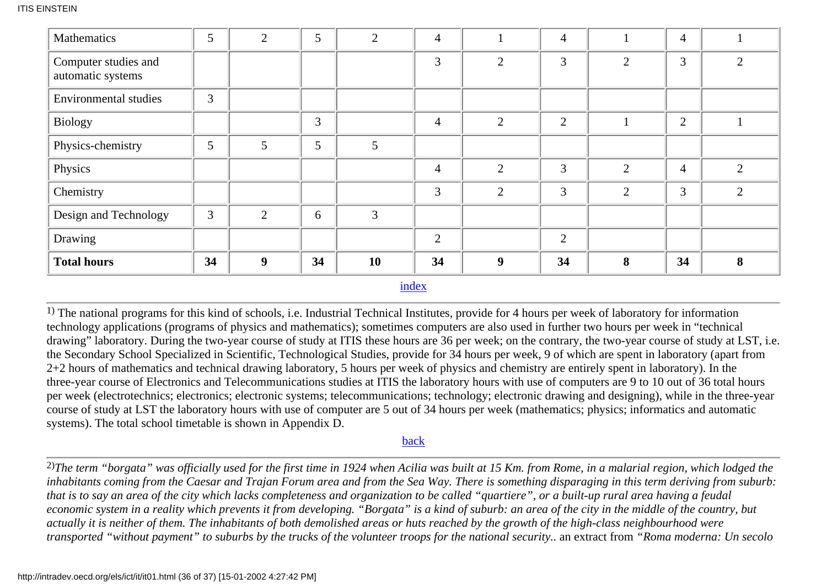| Mathematics                               | 5  | $\overline{2}$   | 5  | $\overline{2}$ | $\overline{4}$ |                | $\overline{4}$ |                | $\overline{4}$ |                |
|-------------------------------------------|----|------------------|----|----------------|----------------|----------------|----------------|----------------|----------------|----------------|
| Computer studies and<br>automatic systems |    |                  |    |                | $\overline{3}$ | $\overline{2}$ | $\overline{3}$ | $\overline{2}$ | 3              | 2              |
| <b>Environmental studies</b>              | 3  |                  |    |                |                |                |                |                |                |                |
| <b>Biology</b>                            |    |                  | 3  |                | $\overline{4}$ | $\overline{2}$ | $\overline{2}$ |                | $\overline{2}$ |                |
| Physics-chemistry                         | 5  | 5                | 5  | 5              |                |                |                |                |                |                |
| Physics                                   |    |                  |    |                | $\overline{4}$ | $\overline{2}$ | 3              | $\overline{2}$ | $\overline{4}$ | $\overline{2}$ |
| Chemistry                                 |    |                  |    |                | 3              | $\overline{2}$ | 3              | $\overline{2}$ | 3              | $\overline{2}$ |
| Design and Technology                     | 3  | $\overline{2}$   | 6  | $\overline{3}$ |                |                |                |                |                |                |
| Drawing                                   |    |                  |    |                | 2              |                | $\overline{2}$ |                |                |                |
| <b>Total hours</b>                        | 34 | $\boldsymbol{9}$ | 34 | <b>10</b>      | 34             | 9              | 34             | 8              | 34             | 8              |

[index](#page-0-0)

<span id="page-35-0"></span>1) The national programs for this kind of schools, i.e. Industrial Technical Institutes, provide for 4 hours per week of laboratory for information technology applications (programs of physics and mathematics); sometimes computers are also used in further two hours per week in "technical drawing" laboratory. During the two-year course of study at ITIS these hours are 36 per week; on the contrary, the two-year course of study at LST, i.e. the Secondary School Specialized in Scientific, Technological Studies, provide for 34 hours per week, 9 of which are spent in laboratory (apart from 2+2 hours of mathematics and technical drawing laboratory, 5 hours per week of physics and chemistry are entirely spent in laboratory). In the three-year course of Electronics and Telecommunications studies at ITIS the laboratory hours with use of computers are 9 to 10 out of 36 total hours per week (electrotechnics; electronics; electronic systems; telecommunications; technology; electronic drawing and designing), while in the three-year course of study at LST the laboratory hours with use of computer are 5 out of 34 hours per week (mathematics; physics; informatics and automatic systems). The total school timetable is shown in Appendix D.

#### [back](#page-2-0)

<span id="page-35-1"></span>2)*The term "borgata" was officially used for the first time in 1924 when Acilia was built at 15 Km. from Rome, in a malarial region, which lodged the inhabitants coming from the Caesar and Trajan Forum area and from the Sea Way. There is something disparaging in this term deriving from suburb: that is to say an area of the city which lacks completeness and organization to be called "quartiere", or a built-up rural area having a feudal economic system in a reality which prevents it from developing. "Borgata" is a kind of suburb: an area of the city in the middle of the country, but actually it is neither of them. The inhabitants of both demolished areas or huts reached by the growth of the high-class neighbourhood were transported "without payment" to suburbs by the trucks of the volunteer troops for the national security..* an extract from *"Roma moderna: Un secolo*